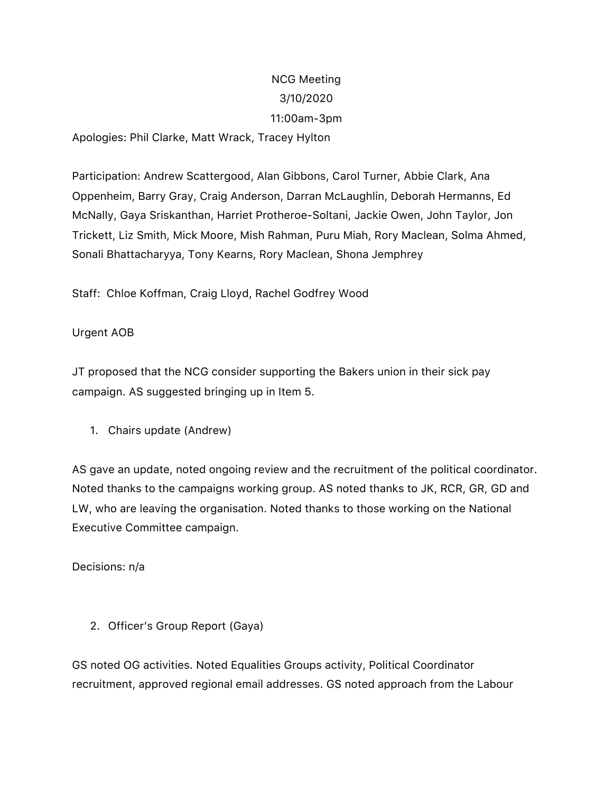# NCG Meeting 3/10/2020 11:00am-3pm

Apologies: Phil Clarke, Matt Wrack, Tracey Hylton

Participation: Andrew Scattergood, Alan Gibbons, Carol Turner, Abbie Clark, Ana Oppenheim, Barry Gray, Craig Anderson, Darran McLaughlin, Deborah Hermanns, Ed McNally, Gaya Sriskanthan, Harriet Protheroe-Soltani, Jackie Owen, John Taylor, Jon Trickett, Liz Smith, Mick Moore, Mish Rahman, Puru Miah, Rory Maclean, Solma Ahmed, Sonali Bhattacharyya, Tony Kearns, Rory Maclean, Shona Jemphrey

Staff: Chloe Koffman, Craig Lloyd, Rachel Godfrey Wood

## Urgent AOB

JT proposed that the NCG consider supporting the Bakers union in their sick pay campaign. AS suggested bringing up in Item 5.

1. Chairs update (Andrew)

AS gave an update, noted ongoing review and the recruitment of the political coordinator. Noted thanks to the campaigns working group. AS noted thanks to JK, RCR, GR, GD and LW, who are leaving the organisation. Noted thanks to those working on the National Executive Committee campaign.

Decisions: n/a

2. Officer's Group Report (Gaya)

GS noted OG activities. Noted Equalities Groups activity, Political Coordinator recruitment, approved regional email addresses. GS noted approach from the Labour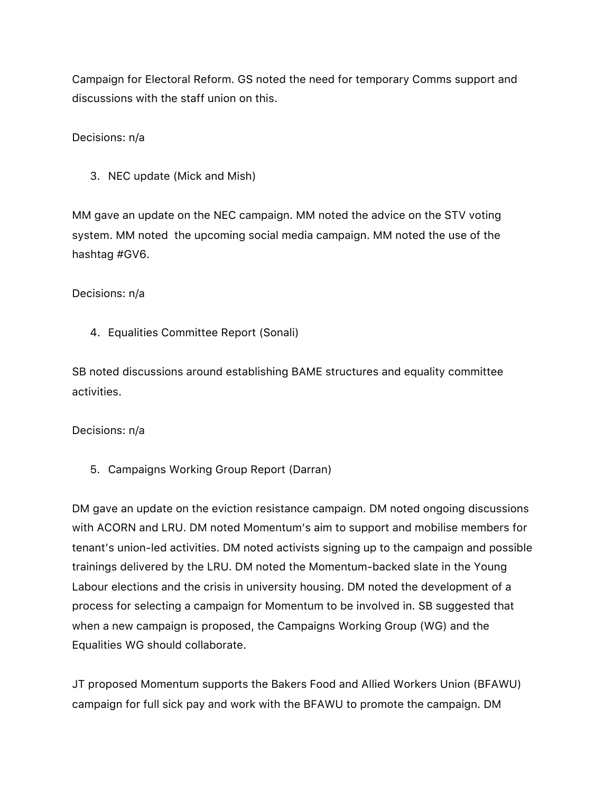Campaign for Electoral Reform. GS noted the need for temporary Comms support and discussions with the staff union on this.

Decisions: n/a

3. NEC update (Mick and Mish)

MM gave an update on the NEC campaign. MM noted the advice on the STV voting system. MM noted the upcoming social media campaign. MM noted the use of the hashtag #GV6.

Decisions: n/a

4. Equalities Committee Report (Sonali)

SB noted discussions around establishing BAME structures and equality committee activities.

Decisions: n/a

5. Campaigns Working Group Report (Darran)

DM gave an update on the eviction resistance campaign. DM noted ongoing discussions with ACORN and LRU. DM noted Momentum's aim to support and mobilise members for tenant's union-led activities. DM noted activists signing up to the campaign and possible trainings delivered by the LRU. DM noted the Momentum-backed slate in the Young Labour elections and the crisis in university housing. DM noted the development of a process for selecting a campaign for Momentum to be involved in. SB suggested that when a new campaign is proposed, the Campaigns Working Group (WG) and the Equalities WG should collaborate.

JT proposed Momentum supports the Bakers Food and Allied Workers Union (BFAWU) campaign for full sick pay and work with the BFAWU to promote the campaign. DM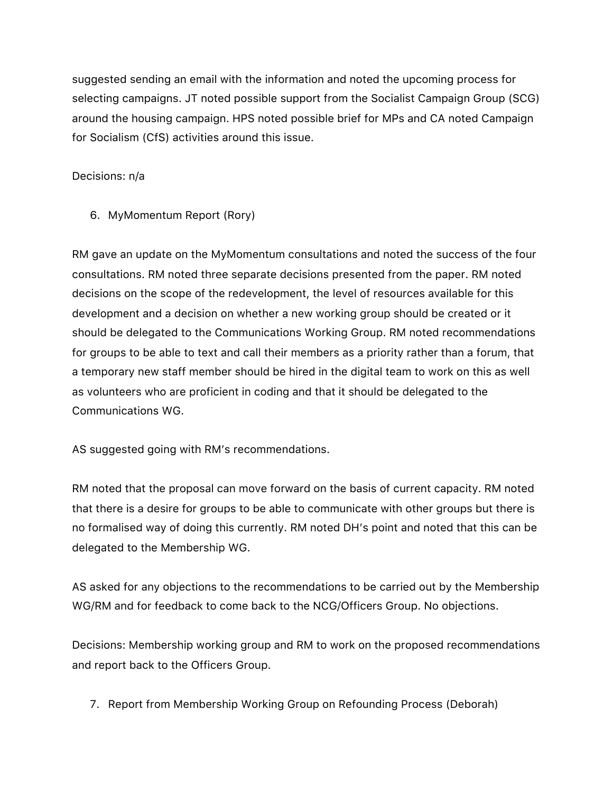suggested sending an email with the information and noted the upcoming process for selecting campaigns. JT noted possible support from the Socialist Campaign Group (SCG) around the housing campaign. HPS noted possible brief for MPs and CA noted Campaign for Socialism (CfS) activities around this issue.

## Decisions: n/a

6. MyMomentum Report (Rory)

RM gave an update on the MyMomentum consultations and noted the success of the four consultations. RM noted three separate decisions presented from the paper. RM noted decisions on the scope of the redevelopment, the level of resources available for this development and a decision on whether a new working group should be created or it should be delegated to the Communications Working Group. RM noted recommendations for groups to be able to text and call their members as a priority rather than a forum, that a temporary new staff member should be hired in the digital team to work on this as well as volunteers who are proficient in coding and that it should be delegated to the Communications WG.

AS suggested going with RM's recommendations.

RM noted that the proposal can move forward on the basis of current capacity. RM noted that there is a desire for groups to be able to communicate with other groups but there is no formalised way of doing this currently. RM noted DH's point and noted that this can be delegated to the Membership WG.

AS asked for any objections to the recommendations to be carried out by the Membership WG/RM and for feedback to come back to the NCG/Officers Group. No objections.

Decisions: Membership working group and RM to work on the proposed recommendations and report back to the Officers Group.

7. Report from Membership Working Group on Refounding Process (Deborah)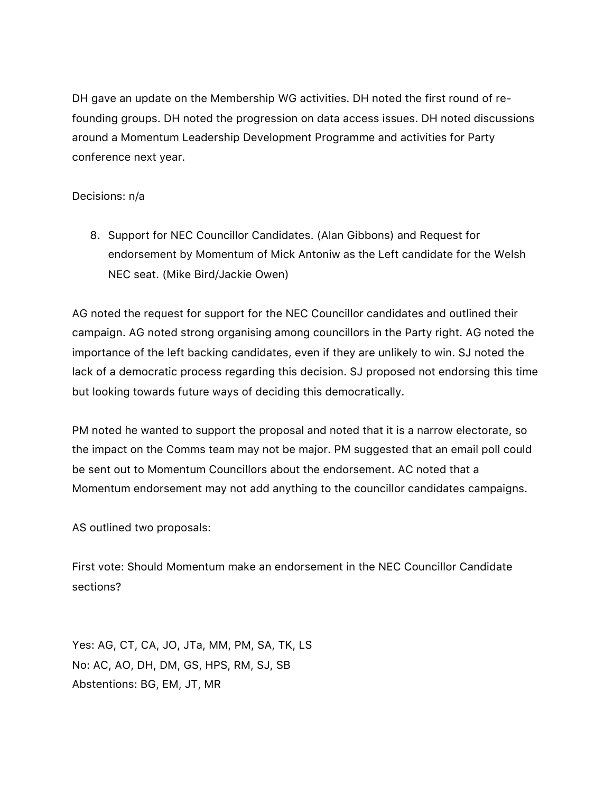DH gave an update on the Membership WG activities. DH noted the first round of refounding groups. DH noted the progression on data access issues. DH noted discussions around a Momentum Leadership Development Programme and activities for Party conference next year.

#### Decisions: n/a

8. Support for NEC Councillor Candidates. (Alan Gibbons) and Request for endorsement by Momentum of Mick Antoniw as the Left candidate for the Welsh NEC seat. (Mike Bird/Jackie Owen)

AG noted the request for support for the NEC Councillor candidates and outlined their campaign. AG noted strong organising among councillors in the Party right. AG noted the importance of the left backing candidates, even if they are unlikely to win. SJ noted the lack of a democratic process regarding this decision. SJ proposed not endorsing this time but looking towards future ways of deciding this democratically.

PM noted he wanted to support the proposal and noted that it is a narrow electorate, so the impact on the Comms team may not be major. PM suggested that an email poll could be sent out to Momentum Councillors about the endorsement. AC noted that a Momentum endorsement may not add anything to the councillor candidates campaigns.

AS outlined two proposals:

First vote: Should Momentum make an endorsement in the NEC Councillor Candidate sections?

Yes: AG, CT, CA, JO, JTa, MM, PM, SA, TK, LS No: AC, AO, DH, DM, GS, HPS, RM, SJ, SB Abstentions: BG, EM, JT, MR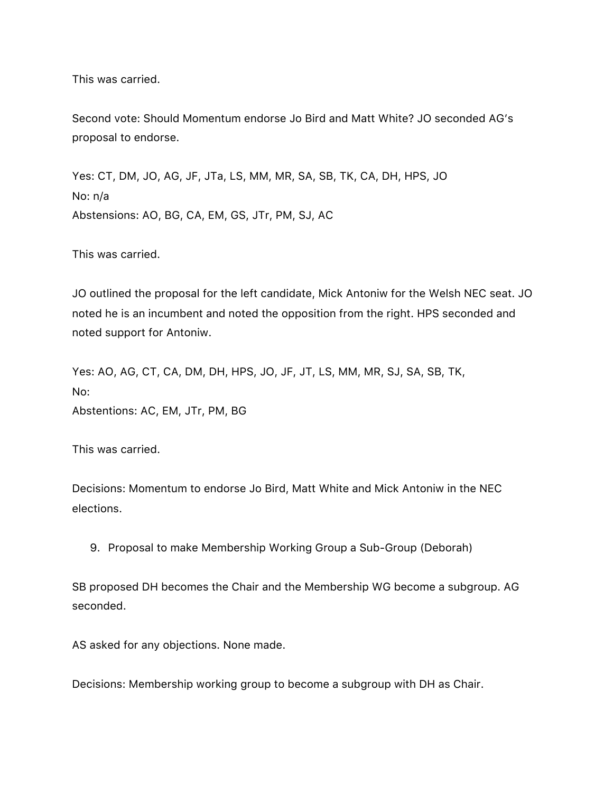This was carried.

Second vote: Should Momentum endorse Jo Bird and Matt White? JO seconded AG's proposal to endorse.

Yes: CT, DM, JO, AG, JF, JTa, LS, MM, MR, SA, SB, TK, CA, DH, HPS, JO No: n/a Abstensions: AO, BG, CA, EM, GS, JTr, PM, SJ, AC

This was carried.

JO outlined the proposal for the left candidate, Mick Antoniw for the Welsh NEC seat. JO noted he is an incumbent and noted the opposition from the right. HPS seconded and noted support for Antoniw.

Yes: AO, AG, CT, CA, DM, DH, HPS, JO, JF, JT, LS, MM, MR, SJ, SA, SB, TK, No: Abstentions: AC, EM, JTr, PM, BG

This was carried.

Decisions: Momentum to endorse Jo Bird, Matt White and Mick Antoniw in the NEC elections.

9. Proposal to make Membership Working Group a Sub-Group (Deborah)

SB proposed DH becomes the Chair and the Membership WG become a subgroup. AG seconded.

AS asked for any objections. None made.

Decisions: Membership working group to become a subgroup with DH as Chair.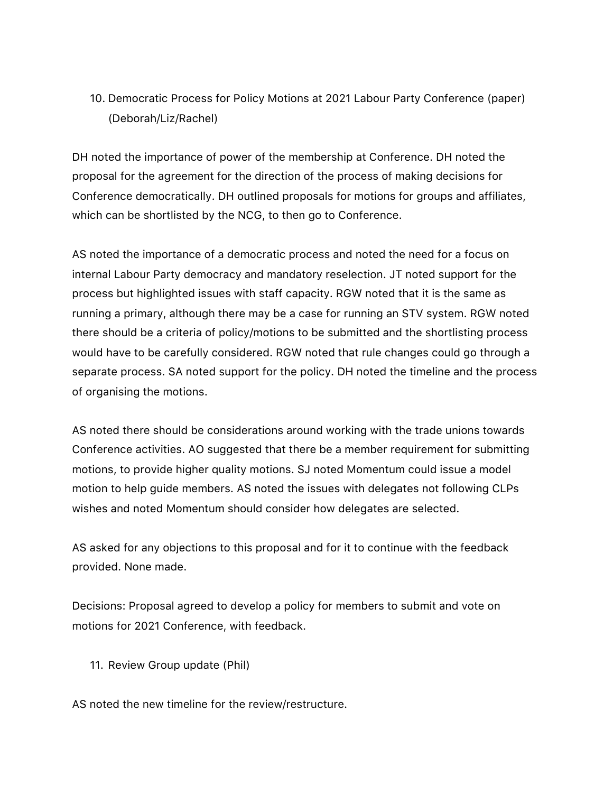10. Democratic Process for Policy Motions at 2021 Labour Party Conference (paper) (Deborah/Liz/Rachel)

DH noted the importance of power of the membership at Conference. DH noted the proposal for the agreement for the direction of the process of making decisions for Conference democratically. DH outlined proposals for motions for groups and affiliates, which can be shortlisted by the NCG, to then go to Conference.

AS noted the importance of a democratic process and noted the need for a focus on internal Labour Party democracy and mandatory reselection. JT noted support for the process but highlighted issues with staff capacity. RGW noted that it is the same as running a primary, although there may be a case for running an STV system. RGW noted there should be a criteria of policy/motions to be submitted and the shortlisting process would have to be carefully considered. RGW noted that rule changes could go through a separate process. SA noted support for the policy. DH noted the timeline and the process of organising the motions.

AS noted there should be considerations around working with the trade unions towards Conference activities. AO suggested that there be a member requirement for submitting motions, to provide higher quality motions. SJ noted Momentum could issue a model motion to help guide members. AS noted the issues with delegates not following CLPs wishes and noted Momentum should consider how delegates are selected.

AS asked for any objections to this proposal and for it to continue with the feedback provided. None made.

Decisions: Proposal agreed to develop a policy for members to submit and vote on motions for 2021 Conference, with feedback.

11. Review Group update (Phil)

AS noted the new timeline for the review/restructure.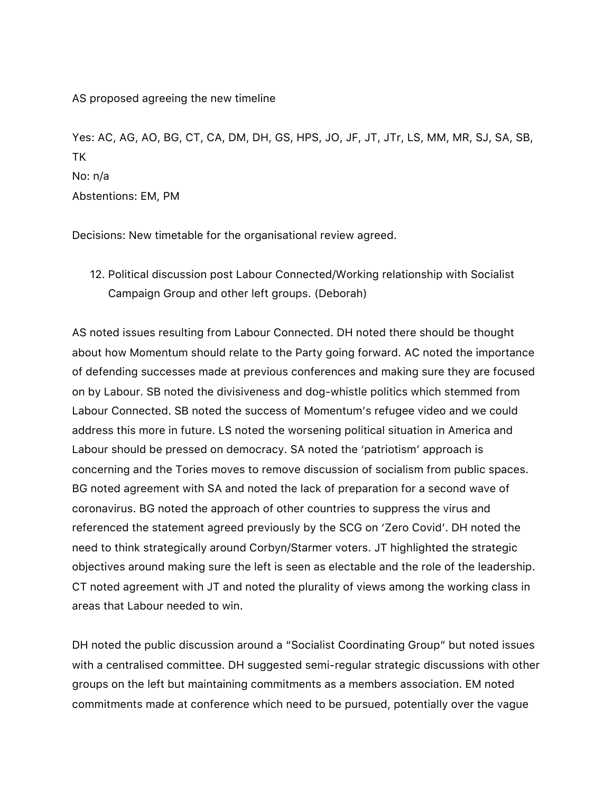AS proposed agreeing the new timeline

Yes: AC, AG, AO, BG, CT, CA, DM, DH, GS, HPS, JO, JF, JT, JTr, LS, MM, MR, SJ, SA, SB, TK No: n/a Abstentions: EM, PM

Decisions: New timetable for the organisational review agreed.

12. Political discussion post Labour Connected/Working relationship with Socialist Campaign Group and other left groups. (Deborah)

AS noted issues resulting from Labour Connected. DH noted there should be thought about how Momentum should relate to the Party going forward. AC noted the importance of defending successes made at previous conferences and making sure they are focused on by Labour. SB noted the divisiveness and dog-whistle politics which stemmed from Labour Connected. SB noted the success of Momentum's refugee video and we could address this more in future. LS noted the worsening political situation in America and Labour should be pressed on democracy. SA noted the 'patriotism' approach is concerning and the Tories moves to remove discussion of socialism from public spaces. BG noted agreement with SA and noted the lack of preparation for a second wave of coronavirus. BG noted the approach of other countries to suppress the virus and referenced the statement agreed previously by the SCG on 'Zero Covid'. DH noted the need to think strategically around Corbyn/Starmer voters. JT highlighted the strategic objectives around making sure the left is seen as electable and the role of the leadership. CT noted agreement with JT and noted the plurality of views among the working class in areas that Labour needed to win.

DH noted the public discussion around a "Socialist Coordinating Group" but noted issues with a centralised committee. DH suggested semi-regular strategic discussions with other groups on the left but maintaining commitments as a members association. EM noted commitments made at conference which need to be pursued, potentially over the vague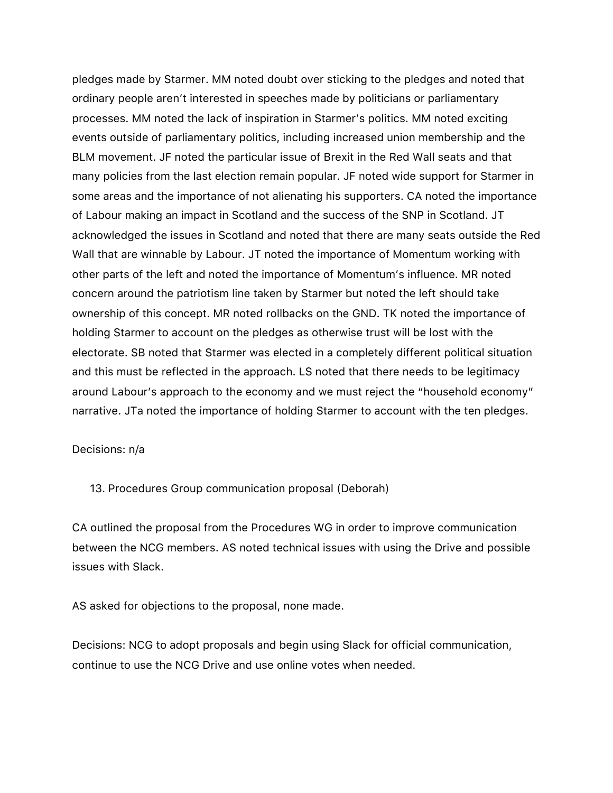pledges made by Starmer. MM noted doubt over sticking to the pledges and noted that ordinary people aren't interested in speeches made by politicians or parliamentary processes. MM noted the lack of inspiration in Starmer's politics. MM noted exciting events outside of parliamentary politics, including increased union membership and the BLM movement. JF noted the particular issue of Brexit in the Red Wall seats and that many policies from the last election remain popular. JF noted wide support for Starmer in some areas and the importance of not alienating his supporters. CA noted the importance of Labour making an impact in Scotland and the success of the SNP in Scotland. JT acknowledged the issues in Scotland and noted that there are many seats outside the Red Wall that are winnable by Labour. JT noted the importance of Momentum working with other parts of the left and noted the importance of Momentum's influence. MR noted concern around the patriotism line taken by Starmer but noted the left should take ownership of this concept. MR noted rollbacks on the GND. TK noted the importance of holding Starmer to account on the pledges as otherwise trust will be lost with the electorate. SB noted that Starmer was elected in a completely different political situation and this must be reflected in the approach. LS noted that there needs to be legitimacy around Labour's approach to the economy and we must reject the "household economy" narrative. JTa noted the importance of holding Starmer to account with the ten pledges.

#### Decisions: n/a

13. Procedures Group communication proposal (Deborah)

CA outlined the proposal from the Procedures WG in order to improve communication between the NCG members. AS noted technical issues with using the Drive and possible issues with Slack.

AS asked for objections to the proposal, none made.

Decisions: NCG to adopt proposals and begin using Slack for official communication, continue to use the NCG Drive and use online votes when needed.